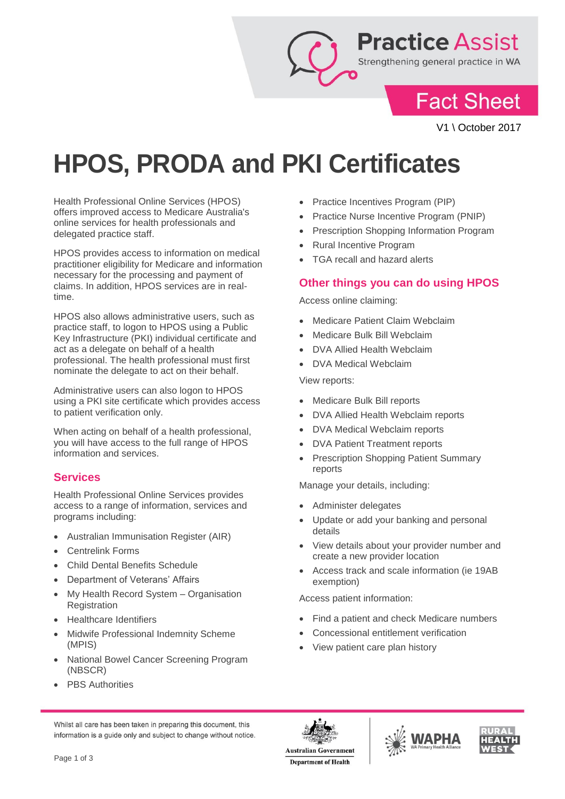

## **Fact Sheet**

V1 \ October 2017

# **HPOS, PRODA and PKI Certificates**

Health Professional Online Services (HPOS) offers improved access to Medicare Australia's online services for health professionals and delegated practice staff.

HPOS provides access to information on medical practitioner eligibility for Medicare and information necessary for the processing and payment of claims. In addition, HPOS services are in realtime.

HPOS also allows administrative users, such as practice staff, to logon to HPOS using a Public Key Infrastructure (PKI) individual certificate and act as a delegate on behalf of a health professional. The health professional must first nominate the delegate to act on their behalf.

Administrative users can also logon to HPOS using a PKI site certificate which provides access to patient verification only.

When acting on behalf of a health professional, you will have access to the full range of HPOS information and services.

#### **Services**

Health Professional Online Services provides access to a range of information, services and programs including:

- Australian Immunisation Register (AIR)
- Centrelink Forms
- Child Dental Benefits Schedule
- Department of Veterans' Affairs
- My Health Record System Organisation **Registration**
- Healthcare Identifiers
- Midwife Professional Indemnity Scheme (MPIS)
- National Bowel Cancer Screening Program (NBSCR)
- **PBS Authorities**
- Practice Incentives Program (PIP)
- Practice Nurse Incentive Program (PNIP)
- Prescription Shopping Information Program
- Rural Incentive Program
- TGA recall and hazard alerts

#### **Other things you can do using HPOS**

Access online claiming:

- Medicare Patient Claim Webclaim
- Medicare Bulk Bill Webclaim
- DVA Allied Health Webclaim
- DVA Medical Webclaim

View reports:

- Medicare Bulk Bill reports
- DVA Allied Health Webclaim reports
- DVA Medical Webclaim reports
- DVA Patient Treatment reports
- Prescription Shopping Patient Summary reports

Manage your details, including:

- Administer delegates
- Update or add your banking and personal details
- View details about your provider number and create a new provider location
- Access track and scale information (ie 19AB exemption)

Access patient information:

- Find a patient and check Medicare numbers
- Concessional entitlement verification
- View patient care plan history

Whilst all care has been taken in preparing this document, this information is a guide only and subject to change without notice.





**Australian Government Department of Health**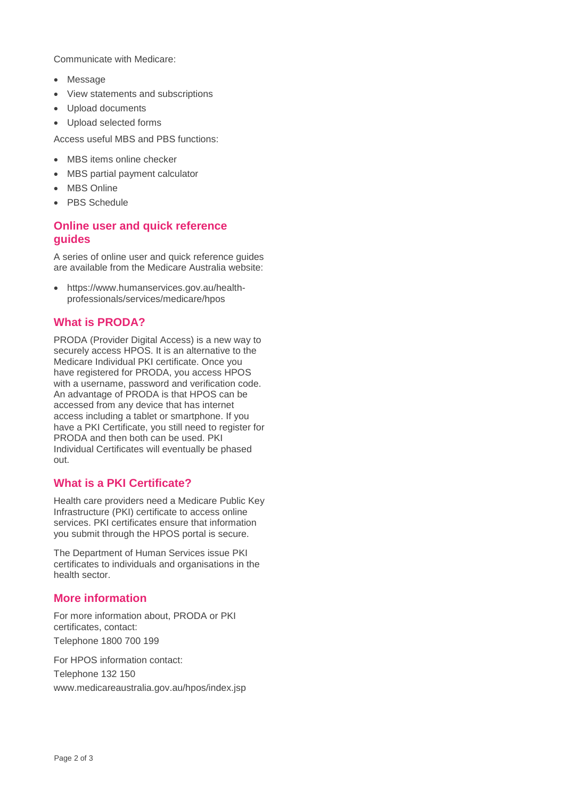Communicate with Medicare:

- Message
- View statements and subscriptions
- Upload documents
- Upload selected forms

Access useful MBS and PBS functions:

- MBS items online checker
- MBS partial payment calculator
- MBS Online
- PBS Schedule

#### **Online user and quick reference guides**

A series of online user and quick reference guides are available from the Medicare Australia website:

• https://www.humanservices.gov.au/healthprofessionals/services/medicare/hpos

#### **What is PRODA?**

PRODA (Provider Digital Access) is a new way to securely access HPOS. It is an alternative to the Medicare Individual PKI certificate. Once you have registered for PRODA, you access HPOS with a username, password and verification code. An advantage of PRODA is that HPOS can be accessed from any device that has internet access including a tablet or smartphone. If you have a PKI Certificate, you still need to register for PRODA and then both can be used. PKI Individual Certificates will eventually be phased out.

#### **What is a PKI Certificate?**

Health care providers need a Medicare Public Key Infrastructure (PKI) certificate to access online services. PKI certificates ensure that information you submit through the HPOS portal is secure.

The Department of Human Services issue PKI certificates to individuals and organisations in the health sector.

#### **More information**

For more information about, PRODA or PKI certificates, contact: Telephone 1800 700 199

For HPOS information contact: Telephone 132 150 www.medicareaustralia.gov.au/hpos/index.jsp